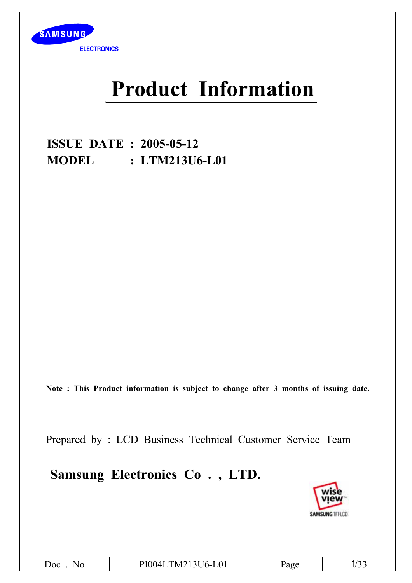

# **Product Information**

**ISSUE DATE : 2005-05-12 MODEL : LTM213U6-L01**

**Note : This Product information is subject to change after 3 months of issuing date.**

Prepared by : LCD Business Technical Customer Service Team

**Samsung Electronics Co . , LTD.**

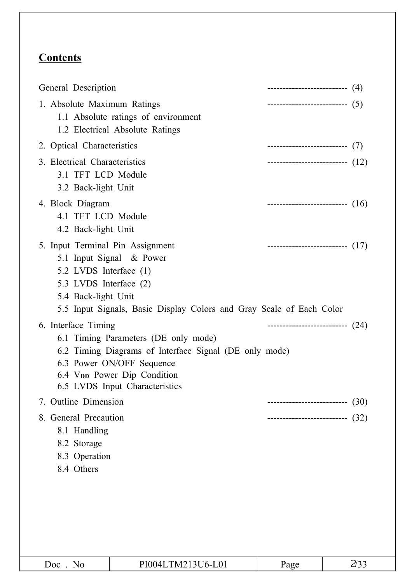## **Contents**

| General Description                                                                                         |                                                                                                                                                                                                          | --------------------------(4)        |      |
|-------------------------------------------------------------------------------------------------------------|----------------------------------------------------------------------------------------------------------------------------------------------------------------------------------------------------------|--------------------------------------|------|
| 1. Absolute Maximum Ratings                                                                                 | 1.1 Absolute ratings of environment<br>1.2 Electrical Absolute Ratings                                                                                                                                   | ------------------------------ $(5)$ |      |
| 2. Optical Characteristics                                                                                  |                                                                                                                                                                                                          | ---------------------------(7)       |      |
| 3. Electrical Characteristics<br>3.1 TFT LCD Module<br>3.2 Back-light Unit                                  |                                                                                                                                                                                                          | ----------------------------- $(12)$ |      |
| 4. Block Diagram<br>4.1 TFT LCD Module<br>4.2 Back-light Unit                                               |                                                                                                                                                                                                          | ---------------------------- $(16)$  |      |
| 5. Input Terminal Pin Assignment<br>5.2 LVDS Interface (1)<br>5.3 LVDS Interface (2)<br>5.4 Back-light Unit | 5.1 Input Signal & Power<br>5.5 Input Signals, Basic Display Colors and Gray Scale of Each Color                                                                                                         | ---------------------------- $(17)$  |      |
| 6. Interface Timing                                                                                         | 6.1 Timing Parameters (DE only mode)<br>6.2 Timing Diagrams of Interface Signal (DE only mode)<br>6.3 Power ON/OFF Sequence<br>6.4 V <sub>pp</sub> Power Dip Condition<br>6.5 LVDS Input Characteristics | --------------------------- (24)     |      |
| 7. Outline Dimension                                                                                        |                                                                                                                                                                                                          | --------------------------           | (30) |
| 8. General Precaution<br>8.1 Handling<br>8.2 Storage<br>8.3 Operation<br>8.4 Others                         |                                                                                                                                                                                                          | --------------------------           | (32) |
|                                                                                                             |                                                                                                                                                                                                          |                                      |      |
| Doc. No                                                                                                     | PI004LTM213U6-L01                                                                                                                                                                                        | Page                                 | 2/33 |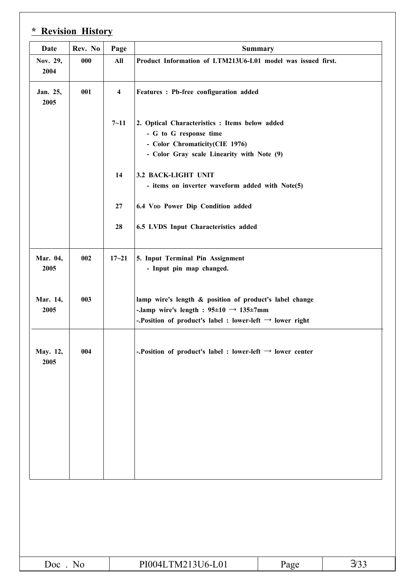| <b>Date</b>      | Rev. No | Page                                                               | <b>Summary</b>                                                                                                                                                                              |      |      |  |  |  |  |
|------------------|---------|--------------------------------------------------------------------|---------------------------------------------------------------------------------------------------------------------------------------------------------------------------------------------|------|------|--|--|--|--|
| Nov. 29,<br>2004 | 000     | All<br>Product Information of LTM213U6-L01 model was issued first. |                                                                                                                                                                                             |      |      |  |  |  |  |
| Jan. 25,<br>2005 | 001     | $\overline{\mathbf{4}}$                                            | Features : Pb-free configuration added                                                                                                                                                      |      |      |  |  |  |  |
|                  |         | $7 - 11$                                                           | 2. Optical Characteristics : Items below added<br>- G to G response time<br>- Color Chromaticity(CIE 1976)<br>- Color Gray scale Linearity with Note (9)                                    |      |      |  |  |  |  |
|                  |         | 14                                                                 | 3.2 BACK-LIGHT UNIT<br>- items on inverter waveform added with Note(5)                                                                                                                      |      |      |  |  |  |  |
|                  |         | 27                                                                 | 6.4 VDD Power Dip Condition added                                                                                                                                                           |      |      |  |  |  |  |
|                  |         | 28                                                                 | 6.5 LVDS Input Characteristics added                                                                                                                                                        |      |      |  |  |  |  |
| Mar. 04,<br>2005 | 002     | $17 - 21$                                                          | 5. Input Terminal Pin Assignment<br>- Input pin map changed.                                                                                                                                |      |      |  |  |  |  |
| Mar. 14,<br>2005 | 003     |                                                                    | lamp wire's length & position of product's label change<br>-.lamp wire's length : $95\pm10 \rightarrow 135\pm7$ mm<br>-. Position of product's label : lower-left $\rightarrow$ lower right |      |      |  |  |  |  |
| May. 12,<br>2005 | 004     |                                                                    | -. Position of product's label : lower-left $\rightarrow$ lower center                                                                                                                      |      |      |  |  |  |  |
|                  |         |                                                                    |                                                                                                                                                                                             |      |      |  |  |  |  |
|                  |         |                                                                    |                                                                                                                                                                                             |      |      |  |  |  |  |
|                  |         |                                                                    |                                                                                                                                                                                             |      |      |  |  |  |  |
|                  |         |                                                                    |                                                                                                                                                                                             |      |      |  |  |  |  |
|                  |         |                                                                    |                                                                                                                                                                                             |      |      |  |  |  |  |
|                  |         |                                                                    |                                                                                                                                                                                             |      |      |  |  |  |  |
| Doc. No          |         |                                                                    | PI004LTM213U6-L01                                                                                                                                                                           | Page | 3/33 |  |  |  |  |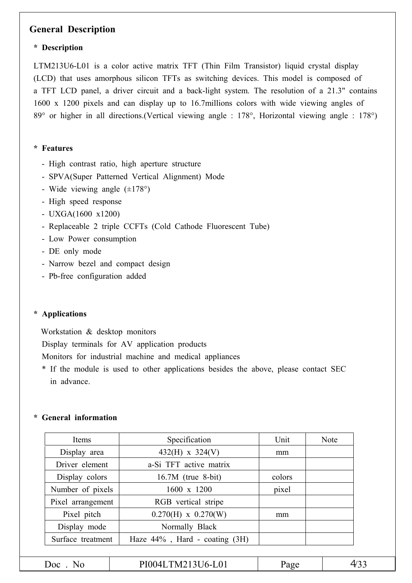### **General Description**

#### **\* Description**

LTM213U6-L01 is a color active matrix TFT (Thin Film Transistor) liquid crystal display (LCD) that uses amorphous silicon TFTs as switching devices. This model is composed of a TFT LCD panel, a driver circuit and a back-light system. The resolution of a 21.3" contains 1600 x 1200 pixels and can display up to 16.7millions colors with wide viewing angles of 89° or higher in all directions.(Vertical viewing angle : 178°, Horizontal viewing angle : 178°)

#### **\* Features**

- High contrast ratio, high aperture structure
- SPVA(Super Patterned Vertical Alignment) Mode
- Wide viewing angle  $(\pm 178^{\circ})$
- High speed response
- UXGA(1600 x1200)
- Replaceable 2 triple CCFTs (Cold Cathode Fluorescent Tube)
- Low Power consumption
- DE only mode
- Narrow bezel and compact design
- Pb-free configuration added

#### **\* Applications**

Workstation & desktop monitors

Display terminals for AV application products

Monitors for industrial machine and medical appliances

\* If the module is used to other applications besides the above, please contact SEC in advance.

#### **\* General information**

| Items             | Specification                       | Unit   | <b>Note</b> |
|-------------------|-------------------------------------|--------|-------------|
| Display area      | $432(H) \times 324(V)$              | mm     |             |
| Driver element    | a-Si TFT active matrix              |        |             |
| Display colors    | $16.7M$ (true 8-bit)                | colors |             |
| Number of pixels  | 1600 x 1200                         | pixel  |             |
| Pixel arrangement | RGB vertical stripe                 |        |             |
| Pixel pitch       | $0.270(H) \times 0.270(W)$          |        |             |
| Display mode      | Normally Black                      |        |             |
| Surface treatment | Haze $44\%$ , Hard - coating $(3H)$ |        |             |
|                   |                                     |        |             |
| $Doc$ No          | PI004LTM213U6-L01                   | Page   | 4/33        |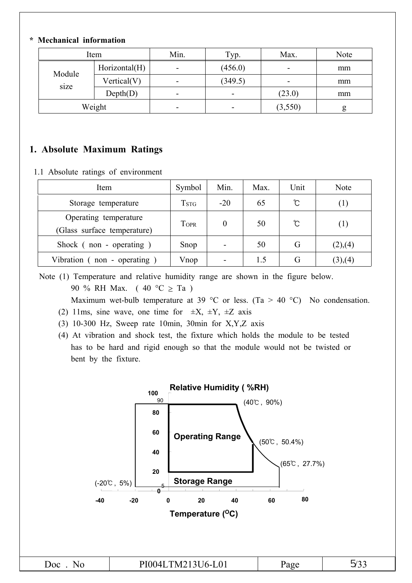### **\* Mechanical information**

| Item   |               | Min. | Typ.    | Max.    | Note |
|--------|---------------|------|---------|---------|------|
| Module | Horizontal(H) | -    | (456.0) | -       | mm   |
| size   | Vertical(V)   | -    | (349.5) | -       | mm   |
|        | Depth(D)      | -    |         | (23.0)  | mm   |
| Weight |               | -    | -       | (3,550) | g    |

### **1. Absolute Maximum Ratings**

1.1 Absolute ratings of environment

| Item                                                 | Symbol | Min.     | Max. | Unit | <b>Note</b> |
|------------------------------------------------------|--------|----------|------|------|-------------|
| Storage temperature                                  | Tstg   | $-20$    | 65   | C    | (1)         |
| Operating temperature<br>(Glass surface temperature) | TOPR   | $\theta$ | 50   | ℃    | (1)         |
| Shock (non - operating)                              | Snop   |          | 50   | G    | (2),(4)     |
| Vibration $($ non - operating                        | Vnop   |          | 1.5  | G    | (3),(4)     |

Note (1) Temperature and relative humidity range are shown in the figure below. 90 % RH Max. (40 °C  $\geq$  Ta )

Maximum wet-bulb temperature at 39 °C or less. (Ta > 40 °C) No condensation.

- (2) 11ms, sine wave, one time for  $\pm X$ ,  $\pm Y$ ,  $\pm Z$  axis
- (3) 10-300 Hz, Sweep rate 10min, 30min for X,Y,Z axis
- (4) At vibration and shock test, the fixture which holds the module to be tested has to be hard and rigid enough so that the module would not be twisted or bent by the fixture.

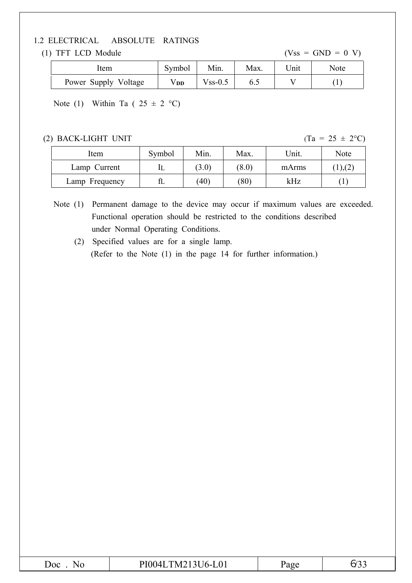#### 1.2 ELECTRICAL ABSOLUTE RATINGS

(1) TFT LCD Module  $(Vss = GND = 0 V)$ 

| ıtem                 | Symbol | Min.          | Max. | Unit | <b>Note</b> |
|----------------------|--------|---------------|------|------|-------------|
| Power Supply Voltage | V DD   | $V$ ss- $0.5$ | 6.J  |      |             |

Note (1) Within Ta (  $25 \pm 2$  °C)

(2) BACK-LIGHT UNIT (Ta =  $25 \pm 2^{\circ}$ C)

| Item           | Symbol | Min.  | Max.  | Unit. | Note   |
|----------------|--------|-------|-------|-------|--------|
| Lamp Current   | IL     | (3.0) | (8.0) | mArms | 1, (2, |
| Lamp Frequency | fL     | (40)  | (80)  | kHz   |        |

Note (1) Permanent damage to the device may occur if maximum values are exceeded. Functional operation should be restricted to the conditions described under Normal Operating Conditions.

(2) Specified values are for a single lamp. (Refer to the Note (1) in the page 14 for further information.)

| $\omega$ oc | TM213U6-L01<br>PI0041 | a y | . |
|-------------|-----------------------|-----|---|
|             |                       |     |   |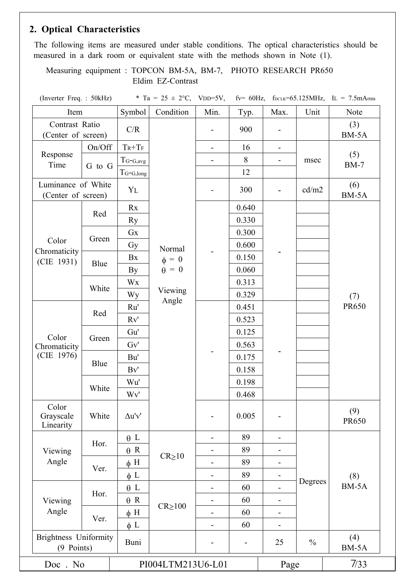### **2. Optical Characteristics**

The following items are measured under stable conditions. The optical characteristics should be measured in a dark room or equivalent state with the methods shown in Note (1).

Measuring equipment : TOPCON BM-5A, BM-7, PHOTO RESEARCH PR650 Eldim EZ-Contrast

(Inverter Freq. : 50kHz)  $*$  Ta = 25  $\pm$  2°C, VDD=5V, fv= 60Hz, f<sub>DCLK</sub>=65.125MHz, IL = 7.5mArms

| Item                                       |          | Symbol                          | Condition          | Min.                         | Typ.           | Max.                         | Unit          | Note                |
|--------------------------------------------|----------|---------------------------------|--------------------|------------------------------|----------------|------------------------------|---------------|---------------------|
| Contrast Ratio<br>(Center of screen)       |          | C/R                             |                    | $\overline{\phantom{a}}$     | 900            | $\qquad \qquad -$            |               | (3)<br>BM-5A        |
|                                            | On/Off   | $Tr+Tr$                         |                    | $\blacksquare$               | 16             | $\qquad \qquad \blacksquare$ |               |                     |
| Response<br>Time                           |          | $T_{G\text{-}G,avg}$            |                    |                              | 8              | $\overline{a}$               | msec          | (5)<br>$BM-7$       |
|                                            | G to G   | $T_{G-G,long}$                  |                    |                              | 12             |                              |               |                     |
| Luminance of White<br>(Center of screen)   |          | YL                              |                    |                              | 300            |                              | cd/m2         | (6)<br>BM-5A        |
|                                            |          | Rx                              |                    |                              | 0.640          |                              |               |                     |
|                                            | Red      | <b>Ry</b>                       |                    |                              | 0.330          |                              |               |                     |
|                                            |          | Gx                              |                    |                              | 0.300          |                              |               |                     |
| Color                                      | Green    | Gy                              | Normal             |                              | 0.600          |                              |               |                     |
| Chromaticity<br>(CIE 1931)                 |          | Bx                              | $\phi = 0$         |                              | 0.150          |                              |               |                     |
|                                            | Blue     | By                              | $\dot{\theta} = 0$ |                              | 0.060          |                              |               |                     |
|                                            |          | Wx                              |                    |                              | 0.313          |                              |               |                     |
|                                            | White    | Wy                              | Viewing            |                              | 0.329          |                              |               | (7)                 |
|                                            |          | Ru'                             | Angle              |                              | 0.451          |                              |               | <b>PR650</b>        |
|                                            | Red      | Rv'                             |                    |                              | 0.523          |                              |               |                     |
| Color                                      |          | Gu'                             |                    |                              | 0.125          |                              |               |                     |
| Chromaticity                               | Green    | Gv'                             |                    |                              | 0.563          |                              |               |                     |
| (CIE 1976)                                 |          | Bu'                             |                    |                              | 0.175          |                              |               |                     |
|                                            | Blue     | Bv'                             |                    |                              | 0.158          |                              |               |                     |
|                                            |          | Wu'                             |                    |                              | 0.198          |                              |               |                     |
|                                            | White    | Wv'                             |                    |                              | 0.468          |                              |               |                     |
| Color<br>Grayscale<br>Linearity            | White    | $\Delta \mathbf{u}'\mathbf{v}'$ |                    |                              | 0.005          | $\blacksquare$               |               | (9)<br><b>PR650</b> |
|                                            | Hor.     | $\theta$ L                      |                    | -                            | 89             | $\overline{\phantom{a}}$     |               |                     |
| Viewing                                    |          | $\theta$ R                      | $CR_{\geq}10$      | $\overline{\phantom{0}}$     | 89             | $\overline{\phantom{a}}$     |               |                     |
| Angle<br>Ver.                              | $\phi$ H |                                 |                    | 89                           |                |                              |               |                     |
|                                            |          | $\phi$ L                        |                    | $\qquad \qquad \blacksquare$ | 89             | $\overline{\phantom{0}}$     | Degrees       | (8)                 |
|                                            | Hor.     | $\theta$ L                      |                    | -                            | 60             |                              |               | BM-5A               |
| Viewing                                    |          | $\theta$ R                      | $CR \ge 100$       |                              | 60             | $\qquad \qquad \blacksquare$ |               |                     |
| Angle                                      | Ver.     | $\phi$ H                        |                    |                              | 60             | $\qquad \qquad \blacksquare$ |               |                     |
|                                            |          | $\phi$ L                        |                    | $\qquad \qquad \blacksquare$ | 60             | $\overline{a}$               |               |                     |
| <b>Brightness Uniformity</b><br>(9 Points) |          | Buni                            |                    |                              | $\blacksquare$ | 25                           | $\frac{0}{0}$ | (4)<br>BM-5A        |
| N <sub>0</sub><br>$Doc$ .                  |          |                                 | PI004LTM213U6-L01  |                              |                | Page                         |               | 7/33                |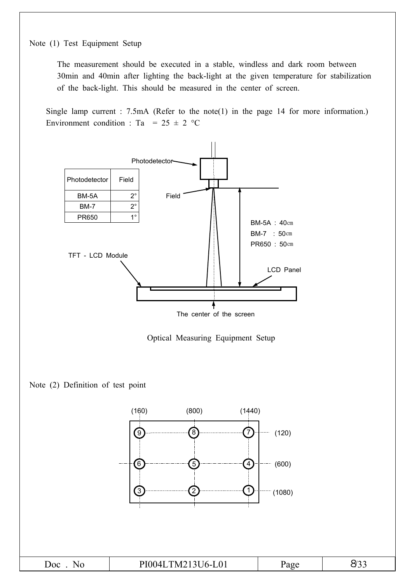Note (1) Test Equipment Setup

The measurement should be executed in a stable, windless and dark room between 30min and 40min after lighting the back-light at the given temperature for stabilization of the back-light. This should be measured in the center of screen.

Single lamp current : 7.5mA (Refer to the note(1) in the page 14 for more information.) Environment condition : Ta =  $25 \pm 2$  °C

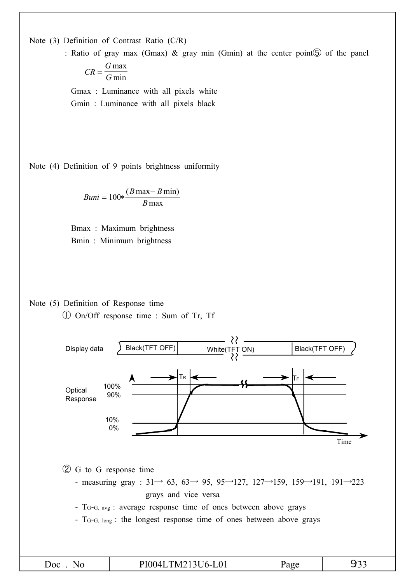Note (3) Definition of Contrast Ratio (C/R)

: Ratio of gray max (Gmax) & gray min (Gmin) at the center point⑤ of the panel *CR*  $=\frac{G \max}{G \min}$ 

 $\overline{G_{\min}}$ 

Gmax : Luminance with all pixels white Gmin : Luminance with all pixels black

Note (4) Definition of 9 points brightness uniformity

$$
Buni = 100 * \frac{(B \max - B \min)}{B \max}
$$

Bmax : Maximum brightness Bmin : Minimum brightness

Note (5) Definition of Response time

① On/Off response time : Sum of Tr, Tf

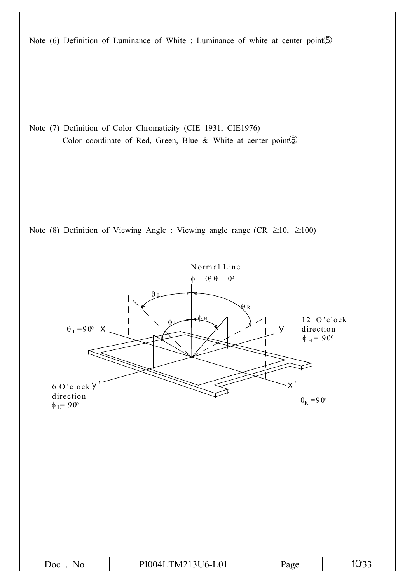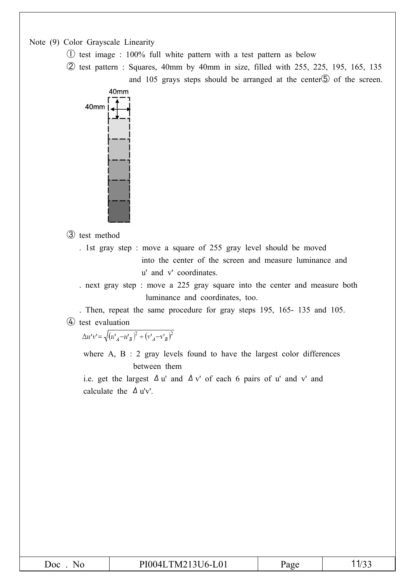Note (9) Color Grayscale Linearity

- ① test image : 100% full white pattern with a test pattern as below
- ② test pattern : Squares, 40mm by 40mm in size, filled with 255, 225, 195, 165, 135 and 105 grays steps should be arranged at the center<sup>
S</sup> of the screen.



③ test method

. 1st gray step : move a square of 255 gray level should be moved into the center of the screen and measure luminance and u' and v' coordinates.

. next gray step : move a 225 gray square into the center and measure both luminance and coordinates, too.

. Then, repeat the same procedure for gray steps 195, 165- 135 and 105. ④ test evaluation

 $\Delta u'v' = \sqrt{(u'_A - u'_B)^2 + (v'_A - v'_B)^2}$ 

where  $A$ ,  $B$  : 2 gray levels found to have the largest color differences between them

i.e. get the largest  $\Delta u'$  and  $\Delta v'$  of each 6 pairs of u' and v' and calculate the  $\Delta$  u'v'.

| PI004LTM213U6-L01<br>$\omega$ oc<br>Page<br>NO | $\sim$<br>1/22 |
|------------------------------------------------|----------------|
|------------------------------------------------|----------------|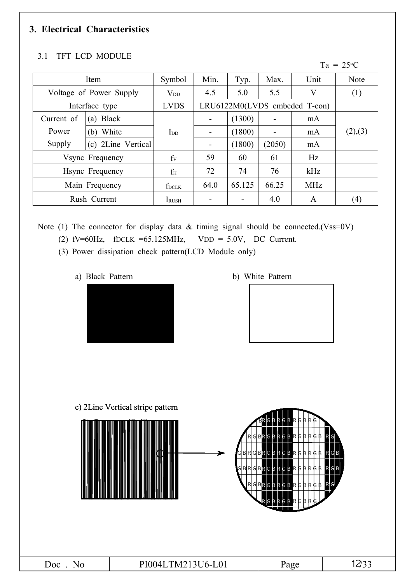### **3. Electrical Characteristics**

### 3.1 TFT LCD MODULE

 $Ta = 25^{\circ}C$ 

| Item            |                         | Symbol                   | Min.                            | Typ.   | Max.                     | Unit         | Note              |
|-----------------|-------------------------|--------------------------|---------------------------------|--------|--------------------------|--------------|-------------------|
|                 | Voltage of Power Supply | $V_{DD}$                 | 4.5                             | 5.0    | 5.5                      | V            | (1)               |
|                 | Interface type          | <b>LVDS</b>              | $LRU6122M0(LVDS$ embeded T-con) |        |                          |              |                   |
| Current of      | <b>Black</b><br>(a)     |                          | $\blacksquare$                  | (1300) |                          | mA           |                   |
| Power           | White<br>(b)            | $\mathbf{I}_{\text{DD}}$ | $\blacksquare$                  | (1800) | $\overline{\phantom{a}}$ | mA           | (2),(3)           |
| Supply          | 2Line Vertical<br>(c)   |                          | $\overline{\phantom{a}}$        | (1800) | (2050)                   | mA           |                   |
| Vsync Frequency |                         | $f_V$                    | 59                              | 60     | 61                       | Hz           |                   |
| Hsync Frequency |                         | $f_{\rm H}$              | 72                              | 74     | 76                       | kHz          |                   |
| Main Frequency  |                         | f <sub>DCLK</sub>        | 64.0                            | 65.125 | 66.25                    | <b>MHz</b>   |                   |
|                 | Rush Current            | <b>IRUSH</b>             |                                 |        | 4.0                      | $\mathsf{A}$ | $\left( 4\right)$ |

Note (1) The connector for display data  $&$  timing signal should be connected.(Vss=0V)

- (2) fv=60Hz, fDCLK =65.125MHz, VDD =  $5.0V$ , DC Current.
	- (3) Power dissipation check pattern(LCD Module only)
		-



a) Black Pattern b) White Pattern



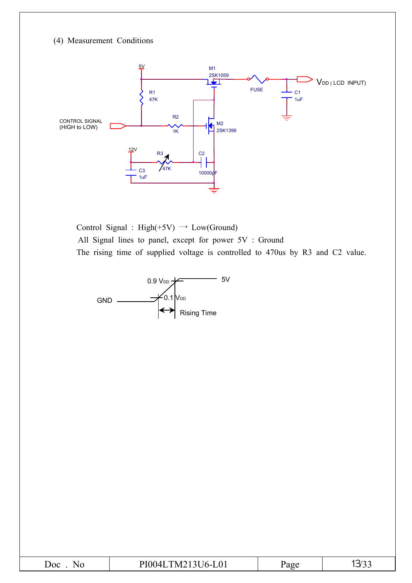#### (4) Measurement Conditions



Control Signal : High(+5V)  $\rightarrow$  Low(Ground) All Signal lines to panel, except for power 5V : Ground The rising time of supplied voltage is controlled to 470us by R3 and C2 value.



| $\overline{\text{Ooc}}$<br>NC | <b>L01</b><br>M<br>L<br>$O^-$<br>$\checkmark$<br><b>**</b> | agt" |  |
|-------------------------------|------------------------------------------------------------|------|--|
|-------------------------------|------------------------------------------------------------|------|--|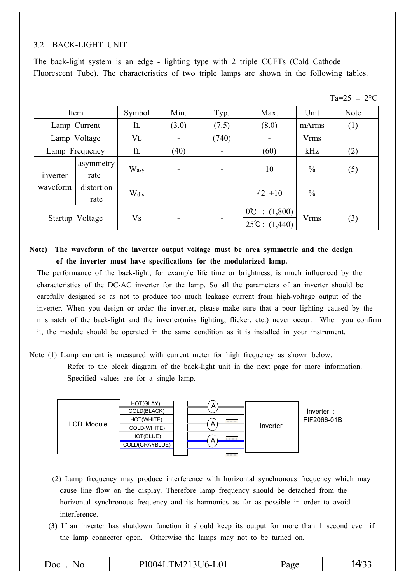### 3.2 BACK-LIGHT UNIT

The back-light system is an edge - lighting type with 2 triple CCFTs (Cold Cathode Fluorescent Tube). The characteristics of two triple lamps are shown in the following tables.

 $Ta = 25 \pm 2$ <sup>o</sup>C

|                 | Item               | Symbol    | Min.  | Typ.  | Max.                                                      | Unit          | Note |
|-----------------|--------------------|-----------|-------|-------|-----------------------------------------------------------|---------------|------|
|                 | Lamp Current       | IL        | (3.0) | (7.5) | (8.0)                                                     | mArms         | (1)  |
|                 | Lamp Voltage       | $V_{L}$   |       | (740) |                                                           | <b>Vrms</b>   |      |
|                 | Lamp Frequency     | fl        | (40)  |       | (60)                                                      |               | (2)  |
| inverter        | asymmetry<br>rate  | Wasy      |       |       | 10                                                        | $\frac{0}{0}$ | (5)  |
| waveform        | distortion<br>rate | Wdis      |       |       | $\sqrt{2} \pm 10$                                         | $\frac{0}{0}$ |      |
| Startup Voltage |                    | <b>Vs</b> |       |       | $0^{\circ}\text{C}$ : $(1,800)$<br>$25^{\circ}$ : (1,440) | <b>Vrms</b>   | (3)  |

**Note) The waveform of the inverter output voltage must be area symmetric and the design of the inverter must have specifications for the modularized lamp.**

The performance of the back-light, for example life time or brightness, is much influenced by the characteristics of the DC-AC inverter for the lamp. So all the parameters of an inverter should be carefully designed so as not to produce too much leakage current from high-voltage output of the inverter. When you design or order the inverter, please make sure that a poor lighting caused by the mismatch of the back-light and the inverter(miss lighting, flicker, etc.) never occur. When you confirm it, the module should be operated in the same condition as it is installed in your instrument.

Note (1) Lamp current is measured with current meter for high frequency as shown below. Refer to the block diagram of the back-light unit in the next page for more information. Specified values are for a single lamp.



- (2) Lamp frequency may produce interference with horizontal synchronous frequency which may cause line flow on the display. Therefore lamp frequency should be detached from the horizontal synchronous frequency and its harmonics as far as possible in order to avoid interference.
- (3) If an inverter has shutdown function it should keep its output for more than 1 second even if the lamp connector open. Otherwise the lamps may not to be turned on.

|  | $\overline{\text{Ooc}}$ | . <b>. .</b> <i>.</i><br>. .<br>$\mathbf{U}$ | ועו | <u>່</u> |
|--|-------------------------|----------------------------------------------|-----|----------|
|--|-------------------------|----------------------------------------------|-----|----------|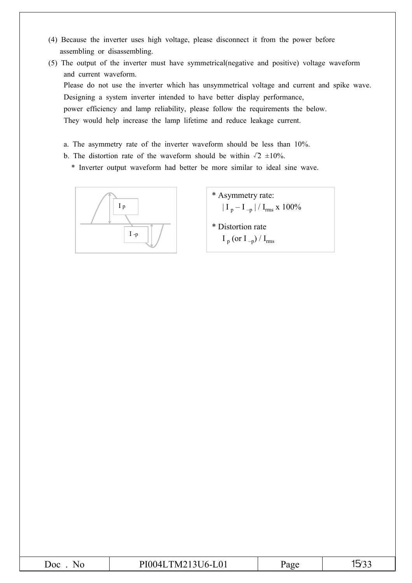- (4) Because the inverter uses high voltage, please disconnect it from the power before assembling or disassembling.
- (5) The output of the inverter must have symmetrical(negative and positive) voltage waveform and current waveform. Please do not use the inverter which has unsymmetrical voltage and current and spike wave. Designing a system inverter intended to have better display performance, power efficiency and lamp reliability, please follow the requirements the below. They would help increase the lamp lifetime and reduce leakage current.
	- a. The asymmetry rate of the inverter waveform should be less than 10%.
	- b. The distortion rate of the waveform should be within  $\sqrt{2} \pm 10\%$ .
		- \* Inverter output waveform had better be more similar to ideal sine wave.



- \* Asymmetry rate:  $| I_{p} - I_{-p} | / I_{rms}$  x 100% \* Distortion rate
	- $I_p$  (or  $I_p$ ) /  $I_{rms}$

| Doc | Nc |
|-----|----|
|     |    |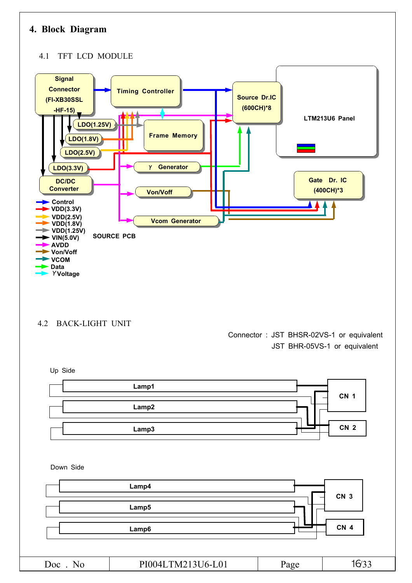### **4. Block Diagram**

#### 4.1 TFT LCD MODULE



4.2 BACK-LIGHT UNIT

Connector : JST BHSR-02VS-1 or equivalent JST BHR-05VS-1 or equivalent

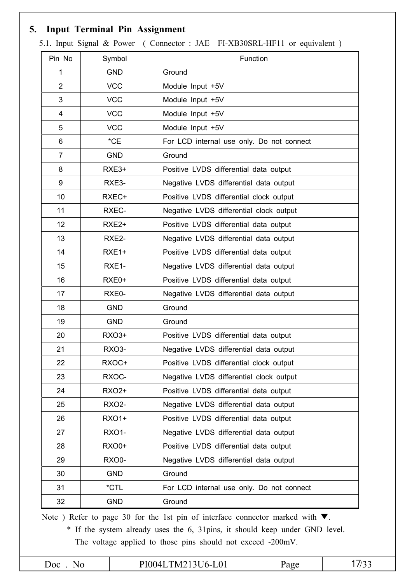### **5. Input Terminal Pin Assignment**

| 1              | Symbol<br><b>GND</b> | Ground                                                                                                                                                                                                                               |  |  |  |  |  |  |  |
|----------------|----------------------|--------------------------------------------------------------------------------------------------------------------------------------------------------------------------------------------------------------------------------------|--|--|--|--|--|--|--|
| $\overline{2}$ | <b>VCC</b>           | Module Input +5V                                                                                                                                                                                                                     |  |  |  |  |  |  |  |
| 3              | <b>VCC</b>           | Module Input +5V                                                                                                                                                                                                                     |  |  |  |  |  |  |  |
|                | <b>VCC</b>           |                                                                                                                                                                                                                                      |  |  |  |  |  |  |  |
| 4              | <b>VCC</b>           | Module Input +5V                                                                                                                                                                                                                     |  |  |  |  |  |  |  |
| 5              | $*CE$                | Module Input +5V                                                                                                                                                                                                                     |  |  |  |  |  |  |  |
| 6              |                      | For LCD internal use only. Do not connect                                                                                                                                                                                            |  |  |  |  |  |  |  |
| $\overline{7}$ | <b>GND</b>           | Ground                                                                                                                                                                                                                               |  |  |  |  |  |  |  |
| 8              | RXE3+                | Positive LVDS differential data output                                                                                                                                                                                               |  |  |  |  |  |  |  |
| 9              | RXE3-                | Negative LVDS differential data output                                                                                                                                                                                               |  |  |  |  |  |  |  |
| 10             | RXEC+                | Positive LVDS differential clock output                                                                                                                                                                                              |  |  |  |  |  |  |  |
| 11             | RXEC-                | Negative LVDS differential clock output                                                                                                                                                                                              |  |  |  |  |  |  |  |
| 12             | RXE <sub>2+</sub>    | Positive LVDS differential data output                                                                                                                                                                                               |  |  |  |  |  |  |  |
| 13             | RXE2-                | Negative LVDS differential data output                                                                                                                                                                                               |  |  |  |  |  |  |  |
| 14             | RXE1+                | Positive LVDS differential data output                                                                                                                                                                                               |  |  |  |  |  |  |  |
| 15             | RXE1-                | Negative LVDS differential data output                                                                                                                                                                                               |  |  |  |  |  |  |  |
| 16             | RXE0+                | Positive LVDS differential data output                                                                                                                                                                                               |  |  |  |  |  |  |  |
| 17             | RXE0-                | Negative LVDS differential data output                                                                                                                                                                                               |  |  |  |  |  |  |  |
| 18             | <b>GND</b>           | Ground                                                                                                                                                                                                                               |  |  |  |  |  |  |  |
| 19             | <b>GND</b>           | Ground                                                                                                                                                                                                                               |  |  |  |  |  |  |  |
| 20             | RX03+                | Positive LVDS differential data output                                                                                                                                                                                               |  |  |  |  |  |  |  |
| 21             | RXO3-                | Negative LVDS differential data output                                                                                                                                                                                               |  |  |  |  |  |  |  |
| 22             | RXOC+                | Positive LVDS differential clock output                                                                                                                                                                                              |  |  |  |  |  |  |  |
| 23             | RXOC-                | Negative LVDS differential clock output                                                                                                                                                                                              |  |  |  |  |  |  |  |
| 24             | <b>RXO2+</b>         | Positive LVDS differential data output                                                                                                                                                                                               |  |  |  |  |  |  |  |
| 25             | <b>RXO2-</b>         | Negative LVDS differential data output                                                                                                                                                                                               |  |  |  |  |  |  |  |
| 26             | <b>RXO1+</b>         | Positive LVDS differential data output                                                                                                                                                                                               |  |  |  |  |  |  |  |
| 27             | <b>RXO1-</b>         | Negative LVDS differential data output                                                                                                                                                                                               |  |  |  |  |  |  |  |
| 28             | <b>RXO0+</b>         | Positive LVDS differential data output                                                                                                                                                                                               |  |  |  |  |  |  |  |
| 29             | <b>RXO0-</b>         | Negative LVDS differential data output                                                                                                                                                                                               |  |  |  |  |  |  |  |
| 30             | <b>GND</b>           | Ground                                                                                                                                                                                                                               |  |  |  |  |  |  |  |
| 31             | *CTL                 | For LCD internal use only. Do not connect                                                                                                                                                                                            |  |  |  |  |  |  |  |
| 32             | <b>GND</b>           | Ground                                                                                                                                                                                                                               |  |  |  |  |  |  |  |
|                |                      | Note ) Refer to page 30 for the 1st pin of interface connector marked with $\nabla$ .<br>* If the system already uses the 6, 31 pins, it should keep under GND level.<br>The voltage applied to those pins should not exceed -200mV. |  |  |  |  |  |  |  |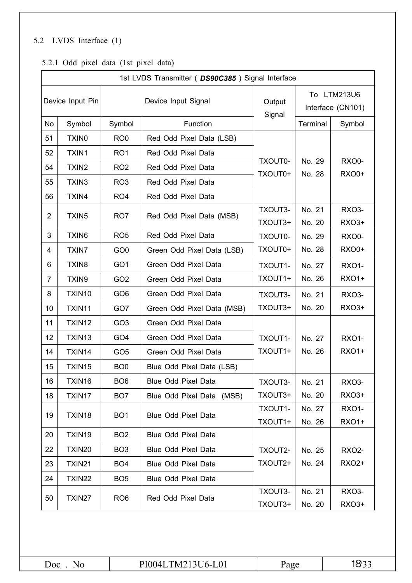### 5.2 LVDS Interface (1)

### 5.2.1 Odd pixel data (1st pixel data)

|                  | 1st LVDS Transmitter (DS90C385) Signal Interface |                 |                            |                    |                  |                                  |  |  |  |  |  |  |  |
|------------------|--------------------------------------------------|-----------------|----------------------------|--------------------|------------------|----------------------------------|--|--|--|--|--|--|--|
| Device Input Pin |                                                  |                 | Device Input Signal        | Output<br>Signal   |                  | To LTM213U6<br>Interface (CN101) |  |  |  |  |  |  |  |
| <b>No</b>        | Symbol                                           | Symbol          | Function                   |                    | Terminal         | Symbol                           |  |  |  |  |  |  |  |
| 51               | <b>TXINO</b>                                     | RO <sub>0</sub> | Red Odd Pixel Data (LSB)   |                    |                  |                                  |  |  |  |  |  |  |  |
| 52               | TXIN1                                            | RO <sub>1</sub> | Red Odd Pixel Data         |                    |                  |                                  |  |  |  |  |  |  |  |
| 54               | TXIN <sub>2</sub>                                | RO <sub>2</sub> | Red Odd Pixel Data         | TXOUT0-<br>TXOUT0+ | No. 29<br>No. 28 | RXO0-<br><b>RXO0+</b>            |  |  |  |  |  |  |  |
| 55               | TXIN3                                            | RO <sub>3</sub> | Red Odd Pixel Data         |                    |                  |                                  |  |  |  |  |  |  |  |
| 56               | TXIN4                                            | RO <sub>4</sub> | Red Odd Pixel Data         |                    |                  |                                  |  |  |  |  |  |  |  |
| $\overline{2}$   | TXIN <sub>5</sub>                                | RO <sub>7</sub> | Red Odd Pixel Data (MSB)   | TXOUT3-            | No. 21           | RXO <sub>3</sub> -               |  |  |  |  |  |  |  |
|                  |                                                  |                 |                            | TXOUT3+            | No. 20           | <b>RXO3+</b>                     |  |  |  |  |  |  |  |
| 3                | TXIN6                                            | RO <sub>5</sub> | Red Odd Pixel Data         | TXOUT0-            | No. 29           | RXO0-                            |  |  |  |  |  |  |  |
| 4                | <b>TXIN7</b>                                     | GO <sub>0</sub> | Green Odd Pixel Data (LSB) | TXOUT0+            | No. 28           | <b>RXO0+</b>                     |  |  |  |  |  |  |  |
| 6                | TXIN8                                            | GO <sub>1</sub> | Green Odd Pixel Data       | TXOUT1-            | No. 27           | <b>RXO1-</b>                     |  |  |  |  |  |  |  |
| $\overline{7}$   | TXIN9                                            | GO <sub>2</sub> | Green Odd Pixel Data       | TXOUT1+            | No. 26           | <b>RXO1+</b>                     |  |  |  |  |  |  |  |
| 8                | TXIN10                                           | GO <sub>6</sub> | Green Odd Pixel Data       | TXOUT3-            | No. 21           | RXO3-                            |  |  |  |  |  |  |  |
| 10               | TXIN11                                           | GO7             | Green Odd Pixel Data (MSB) | TXOUT3+            | No. 20           | RX03+                            |  |  |  |  |  |  |  |
| 11               | TXIN12                                           | GO <sub>3</sub> | Green Odd Pixel Data       |                    |                  |                                  |  |  |  |  |  |  |  |
| 12               | TXIN13                                           | GO <sub>4</sub> | Green Odd Pixel Data       | TXOUT1-            | No. 27           | <b>RXO1-</b>                     |  |  |  |  |  |  |  |
| 14               | TXIN14                                           | GO <sub>5</sub> | Green Odd Pixel Data       | TXOUT1+            | No. 26           | <b>RXO1+</b>                     |  |  |  |  |  |  |  |
| 15               | TXIN15                                           | BO <sub>0</sub> | Blue Odd Pixel Data (LSB)  |                    |                  |                                  |  |  |  |  |  |  |  |
| 16               | TXIN16                                           | BO <sub>6</sub> | Blue Odd Pixel Data        | TXOUT3-            | No. 21           | RXO3-                            |  |  |  |  |  |  |  |
| 18               | TXIN17                                           | BO <sub>7</sub> | Blue Odd Pixel Data (MSB)  | TXOUT3+            | No. 20           | RXO3+                            |  |  |  |  |  |  |  |
| 19               | TXIN18                                           | BO <sub>1</sub> | Blue Odd Pixel Data        | TXOUT1-            | No. 27           | <b>RXO1-</b>                     |  |  |  |  |  |  |  |
|                  |                                                  |                 |                            | TXOUT1+            | No. 26           | <b>RXO1+</b>                     |  |  |  |  |  |  |  |
| 20               | TXIN19                                           | BO <sub>2</sub> | <b>Blue Odd Pixel Data</b> |                    |                  |                                  |  |  |  |  |  |  |  |
| 22               | TXIN20                                           | BO <sub>3</sub> | <b>Blue Odd Pixel Data</b> | TXOUT2-            | No. 25           | <b>RXO2-</b>                     |  |  |  |  |  |  |  |
| 23               | TXIN21                                           | BO <sub>4</sub> | <b>Blue Odd Pixel Data</b> | TXOUT2+            | No. 24           | RX02+                            |  |  |  |  |  |  |  |
| 24               | TXIN22                                           | BO <sub>5</sub> | <b>Blue Odd Pixel Data</b> |                    |                  |                                  |  |  |  |  |  |  |  |
| 50               | TXIN27                                           | RO <sub>6</sub> | Red Odd Pixel Data         | TXOUT3-            | No. 21           | RXO3-                            |  |  |  |  |  |  |  |
|                  |                                                  |                 |                            | TXOUT3+            | No. 20           | RX03+                            |  |  |  |  |  |  |  |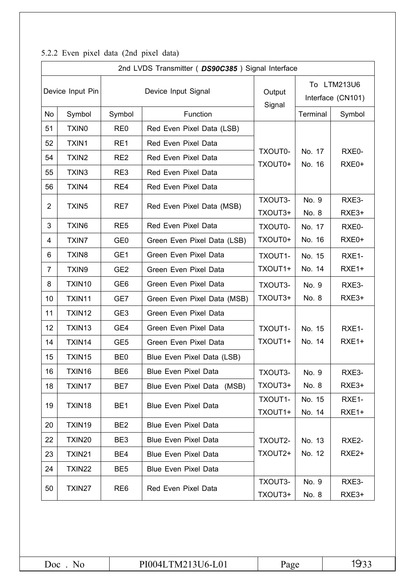|                | 2nd LVDS Transmitter (DS90C385) Signal Interface |                 |                             |                    |                  |                                  |  |  |  |  |  |  |
|----------------|--------------------------------------------------|-----------------|-----------------------------|--------------------|------------------|----------------------------------|--|--|--|--|--|--|
|                | Device Input Pin                                 |                 | Device Input Signal         | Output<br>Signal   |                  | To LTM213U6<br>Interface (CN101) |  |  |  |  |  |  |
| No             | Symbol                                           | Symbol          | Function                    |                    | Terminal         | Symbol                           |  |  |  |  |  |  |
| 51             | <b>TXINO</b>                                     | RE <sub>0</sub> | Red Even Pixel Data (LSB)   |                    |                  |                                  |  |  |  |  |  |  |
| 52             | TXIN1                                            | RE1             | Red Even Pixel Data         |                    |                  |                                  |  |  |  |  |  |  |
| 54             | TXIN2                                            | RE <sub>2</sub> | Red Even Pixel Data         | TXOUT0-<br>TXOUT0+ | No. 17<br>No. 16 | RXE0-                            |  |  |  |  |  |  |
| 55             | TXIN3                                            | RE3             | Red Even Pixel Data         |                    |                  | RXE0+                            |  |  |  |  |  |  |
| 56             | TXIN4                                            | RE4             | Red Even Pixel Data         |                    |                  |                                  |  |  |  |  |  |  |
| 2              | TXIN <sub>5</sub>                                | RE7             | Red Even Pixel Data (MSB)   | TXOUT3-            | No. 9            | RXE3-                            |  |  |  |  |  |  |
|                |                                                  |                 |                             | TXOUT3+            | No. 8            | RXE3+                            |  |  |  |  |  |  |
| 3              | TXIN6                                            | RE <sub>5</sub> | Red Even Pixel Data         | TXOUT0-            | No. 17           | RXE0-                            |  |  |  |  |  |  |
| 4              | <b>TXIN7</b>                                     | GE <sub>0</sub> | Green Even Pixel Data (LSB) | TXOUT0+            | No. 16           | RXE0+                            |  |  |  |  |  |  |
| 6              | <b>TXIN8</b>                                     | GE1             | Green Even Pixel Data       | TXOUT1-            | No. 15           | RXE1-                            |  |  |  |  |  |  |
| $\overline{7}$ | TXIN9                                            | GE <sub>2</sub> | Green Even Pixel Data       | TXOUT1+            | No. 14           | RXE1+                            |  |  |  |  |  |  |
| 8              | TXIN10                                           | GE <sub>6</sub> | Green Even Pixel Data       | TXOUT3-            | No. 9            | RXE3-                            |  |  |  |  |  |  |
| 10             | TXIN11                                           | GE7             | Green Even Pixel Data (MSB) | TXOUT3+            | No. 8            | RXE3+                            |  |  |  |  |  |  |
| 11             | TXIN12                                           | GE <sub>3</sub> | Green Even Pixel Data       |                    |                  |                                  |  |  |  |  |  |  |
| 12             | TXIN13                                           | GE4             | Green Even Pixel Data       | TXOUT1-            | No. 15           | RXE1-                            |  |  |  |  |  |  |
| 14             | TXIN14                                           | GE <sub>5</sub> | Green Even Pixel Data       | TXOUT1+            | No. 14           | RXE1+                            |  |  |  |  |  |  |
| 15             | TXIN15                                           | BE <sub>0</sub> | Blue Even Pixel Data (LSB)  |                    |                  |                                  |  |  |  |  |  |  |
| 16             | TXIN16                                           | BE6             | Blue Even Pixel Data        | TXOUT3-            | No. 9            | RXE3-                            |  |  |  |  |  |  |
| 18             | TXIN17                                           | BE7             | Blue Even Pixel Data (MSB)  | TXOUT3+            | No. 8            | RXE3+                            |  |  |  |  |  |  |
| 19             | TXIN18                                           | BE <sub>1</sub> | <b>Blue Even Pixel Data</b> | TXOUT1-            | No. 15           | RXE1-                            |  |  |  |  |  |  |
|                |                                                  |                 |                             | TXOUT1+            | No. 14           | RXE1+                            |  |  |  |  |  |  |
| 20             | TXIN19                                           | BE <sub>2</sub> | <b>Blue Even Pixel Data</b> |                    |                  |                                  |  |  |  |  |  |  |
| 22             | <b>TXIN20</b>                                    | BE3             | <b>Blue Even Pixel Data</b> | TXOUT2-            | No. 13           | RXE2-                            |  |  |  |  |  |  |
| 23             | <b>TXIN21</b>                                    | BE4             | <b>Blue Even Pixel Data</b> | TXOUT2+            | No. 12           | RXE <sub>2+</sub>                |  |  |  |  |  |  |
| 24             | TXIN22                                           | BE <sub>5</sub> | <b>Blue Even Pixel Data</b> |                    |                  |                                  |  |  |  |  |  |  |
| 50             | TXIN27                                           | RE <sub>6</sub> | Red Even Pixel Data         | TXOUT3-<br>TXOUT3+ | No. 9<br>No. 8   | RXE3-<br>RXE3+                   |  |  |  |  |  |  |

### 5.2.2 Even pixel data (2nd pixel data)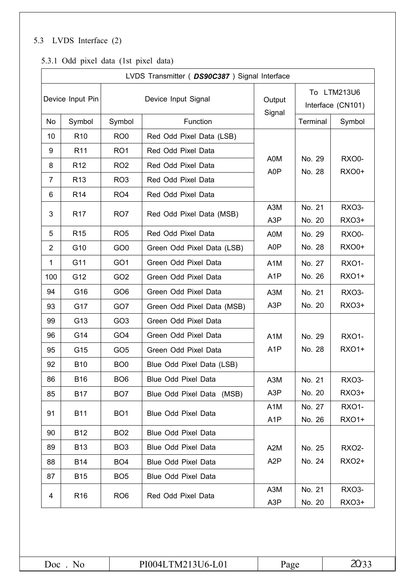### 5.3 LVDS Interface (2)

### 5.3.1 Odd pixel data (1st pixel data)

|                | LVDS Transmitter ( DS90C387 ) Signal Interface |                 |                            |                         |                  |                                  |  |  |  |  |  |  |  |
|----------------|------------------------------------------------|-----------------|----------------------------|-------------------------|------------------|----------------------------------|--|--|--|--|--|--|--|
|                | Device Input Pin                               |                 | Device Input Signal        | Output<br>Signal        |                  | To LTM213U6<br>Interface (CN101) |  |  |  |  |  |  |  |
| <b>No</b>      | Symbol                                         | Symbol          | Function                   |                         | Terminal         | Symbol                           |  |  |  |  |  |  |  |
| 10             | R <sub>10</sub>                                | RO <sub>0</sub> | Red Odd Pixel Data (LSB)   |                         |                  |                                  |  |  |  |  |  |  |  |
| 9              | R <sub>11</sub>                                | RO <sub>1</sub> | Red Odd Pixel Data         |                         |                  |                                  |  |  |  |  |  |  |  |
| 8              | R <sub>12</sub>                                | RO <sub>2</sub> | Red Odd Pixel Data         | A0M<br>A0P              | No. 29<br>No. 28 | RXO0-<br><b>RXO0+</b>            |  |  |  |  |  |  |  |
| 7              | R <sub>13</sub>                                | RO <sub>3</sub> | Red Odd Pixel Data         |                         |                  |                                  |  |  |  |  |  |  |  |
| 6              | R <sub>14</sub>                                | RO <sub>4</sub> | Red Odd Pixel Data         |                         |                  |                                  |  |  |  |  |  |  |  |
| 3              | R <sub>17</sub>                                | RO <sub>7</sub> | Red Odd Pixel Data (MSB)   | A3M<br>A <sub>3</sub> P | No. 21<br>No. 20 | RXO <sub>3</sub> -<br>RX03+      |  |  |  |  |  |  |  |
| 5              | R <sub>15</sub>                                | RO <sub>5</sub> | Red Odd Pixel Data         | A0M                     | No. 29           | RXO0-                            |  |  |  |  |  |  |  |
| $\overline{2}$ | G10                                            | GO <sub>0</sub> | Green Odd Pixel Data (LSB) | A0P                     | No. 28           | <b>RXO0+</b>                     |  |  |  |  |  |  |  |
| $\mathbf 1$    | G11                                            | GO <sub>1</sub> | Green Odd Pixel Data       | A <sub>1</sub> M        | No. 27           | <b>RXO1-</b>                     |  |  |  |  |  |  |  |
| 100            | G12                                            | GO <sub>2</sub> | Green Odd Pixel Data       | A <sub>1</sub> P        | No. 26           | <b>RXO1+</b>                     |  |  |  |  |  |  |  |
| 94             | G16                                            | GO <sub>6</sub> | Green Odd Pixel Data       | A <sub>3</sub> M        | No. 21           | RXO3-                            |  |  |  |  |  |  |  |
| 93             | G17                                            | GO7             | Green Odd Pixel Data (MSB) | A <sub>3</sub> P        | No. 20           | RX03+                            |  |  |  |  |  |  |  |
| 99             | G13                                            | GO <sub>3</sub> | Green Odd Pixel Data       |                         |                  |                                  |  |  |  |  |  |  |  |
| 96             | G14                                            | GO <sub>4</sub> | Green Odd Pixel Data       | A <sub>1</sub> M        | No. 29           | RXO1-                            |  |  |  |  |  |  |  |
| 95             | G15                                            | GO <sub>5</sub> | Green Odd Pixel Data       | A <sub>1</sub> P        | No. 28           | <b>RXO1+</b>                     |  |  |  |  |  |  |  |
| 92             | <b>B10</b>                                     | BO <sub>0</sub> | Blue Odd Pixel Data (LSB)  |                         |                  |                                  |  |  |  |  |  |  |  |
| 86             | <b>B16</b>                                     | BO <sub>6</sub> | Blue Odd Pixel Data        | A3M                     | No. 21           | RXO3-                            |  |  |  |  |  |  |  |
| 85             | <b>B17</b>                                     | BO <sub>7</sub> | Blue Odd Pixel Data (MSB)  | A <sub>3</sub> P        | No. 20           | RXO3+                            |  |  |  |  |  |  |  |
| 91             | <b>B11</b>                                     | BO <sub>1</sub> | <b>Blue Odd Pixel Data</b> | A <sub>1</sub> M        | No. 27           | <b>RXO1-</b>                     |  |  |  |  |  |  |  |
|                |                                                |                 |                            | A <sub>1</sub> P        | No. 26           | <b>RXO1+</b>                     |  |  |  |  |  |  |  |
| 90             | <b>B12</b>                                     | BO <sub>2</sub> | Blue Odd Pixel Data        |                         |                  |                                  |  |  |  |  |  |  |  |
| 89             | <b>B13</b>                                     | BO <sub>3</sub> | <b>Blue Odd Pixel Data</b> | A2M                     | No. 25           | <b>RXO2-</b>                     |  |  |  |  |  |  |  |
| 88             | <b>B14</b>                                     | BO <sub>4</sub> | <b>Blue Odd Pixel Data</b> | A <sub>2</sub> P        | No. 24           | RX02+                            |  |  |  |  |  |  |  |
| 87             | <b>B15</b>                                     | BO <sub>5</sub> | <b>Blue Odd Pixel Data</b> |                         |                  |                                  |  |  |  |  |  |  |  |
| 4              | RO <sub>6</sub><br>R <sub>16</sub>             |                 | Red Odd Pixel Data         | A3M                     | No. 21           | RXO3-                            |  |  |  |  |  |  |  |
|                |                                                |                 |                            | A <sub>3</sub> P        | No. 20           | RXO3+                            |  |  |  |  |  |  |  |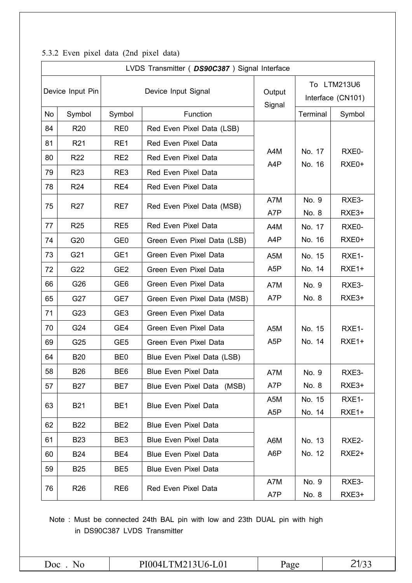|    |                  |                 | LVDS Transmitter ( DS90C387 ) Signal Interface |                  |                |                                  |
|----|------------------|-----------------|------------------------------------------------|------------------|----------------|----------------------------------|
|    | Device Input Pin |                 | Device Input Signal                            | Output<br>Signal |                | To LTM213U6<br>Interface (CN101) |
| No | Symbol           | Symbol          | Function                                       |                  | Terminal       | Symbol                           |
| 84 | R <sub>20</sub>  | RE <sub>0</sub> | Red Even Pixel Data (LSB)                      |                  |                |                                  |
| 81 | R <sub>21</sub>  | RE1             | Red Even Pixel Data                            |                  |                |                                  |
| 80 | R <sub>22</sub>  | RE <sub>2</sub> | Red Even Pixel Data                            | A4M              | No. 17         | RXE0-                            |
| 79 | R <sub>23</sub>  | RE3             | Red Even Pixel Data                            | A4P              | No. 16         | RXE0+                            |
| 78 | R <sub>24</sub>  | RE4             | Red Even Pixel Data                            |                  |                |                                  |
| 75 | <b>R27</b>       | RE7             | Red Even Pixel Data (MSB)                      | A7M              | No. 9          | RXE3-                            |
|    |                  |                 |                                                | A7P              | No. 8          | RXE3+                            |
| 77 | <b>R25</b>       | RE <sub>5</sub> | Red Even Pixel Data                            | A4M              | No. 17         | RXE0-                            |
| 74 | G20              | GE <sub>0</sub> | Green Even Pixel Data (LSB)                    | A4P              | No. 16         | RXE0+                            |
| 73 | G21              | GE1             | Green Even Pixel Data                          | A <sub>5</sub> M | No. 15         | RXE1-                            |
| 72 | G22              | GE <sub>2</sub> | Green Even Pixel Data                          | A <sub>5</sub> P | No. 14         | RXE1+                            |
| 66 | G26              | GE <sub>6</sub> | Green Even Pixel Data                          | A7M              | No. 9          | RXE3-                            |
| 65 | G27              | GE7             | Green Even Pixel Data (MSB)                    | A7P              | No. 8          | RXE3+                            |
| 71 | G23              | GE <sub>3</sub> | Green Even Pixel Data                          |                  |                |                                  |
| 70 | G24              | GE4             | Green Even Pixel Data                          | A <sub>5</sub> M | No. 15         | RXE1-                            |
| 69 | G25              | GE <sub>5</sub> | Green Even Pixel Data                          | A <sub>5</sub> P | No. 14         | RXE1+                            |
| 64 | <b>B20</b>       | BE <sub>0</sub> | Blue Even Pixel Data (LSB)                     |                  |                |                                  |
| 58 | <b>B26</b>       | BE <sub>6</sub> | <b>Blue Even Pixel Data</b>                    | A7M              | No. 9          | RXE3-                            |
| 57 | <b>B27</b>       | BE7             | Blue Even Pixel Data (MSB)                     | A7P              | No. 8          | RXE3+                            |
| 63 | <b>B21</b>       | BE <sub>1</sub> | <b>Blue Even Pixel Data</b>                    | A5M              | No. 15         | RXE1-                            |
|    |                  |                 |                                                | A <sub>5</sub> P | No. 14         | RXE1+                            |
| 62 | <b>B22</b>       | BE <sub>2</sub> | <b>Blue Even Pixel Data</b>                    |                  |                |                                  |
| 61 | <b>B23</b>       | BE3             | <b>Blue Even Pixel Data</b>                    | A6M              | No. 13         | RXE2-                            |
| 60 | <b>B24</b>       | BE4             | <b>Blue Even Pixel Data</b>                    | A6P              | No. 12         | RXE <sub>2+</sub>                |
| 59 | <b>B25</b>       | BE <sub>5</sub> | <b>Blue Even Pixel Data</b>                    |                  |                |                                  |
| 76 | R <sub>26</sub>  | RE <sub>6</sub> | Red Even Pixel Data                            | A7M<br>A7P       | No. 9<br>No. 8 | RXE3-<br>RXE3+                   |

### 5.3.2 Even pixel data (2nd pixel data)

Note : Must be connected 24th BAL pin with low and 23th DUAL pin with high in DS90C387 LVDS Transmitter

| $\overline{\text{Ooc}}$ | TM213U6-L01<br>PI004L | Page | _<br>. <u>.</u> |
|-------------------------|-----------------------|------|-----------------|
|-------------------------|-----------------------|------|-----------------|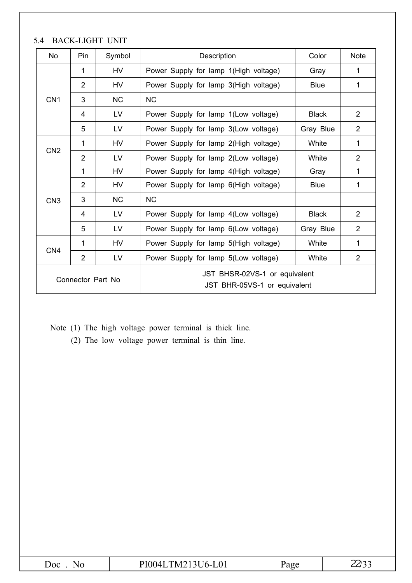| <b>No</b>         | Pin            | Symbol    | Description                                                   | Color        | <b>Note</b>    |  |  |  |
|-------------------|----------------|-----------|---------------------------------------------------------------|--------------|----------------|--|--|--|
|                   | 1              | <b>HV</b> | Power Supply for lamp 1(High voltage)                         | Gray         | 1              |  |  |  |
|                   | $\overline{2}$ | <b>HV</b> | Power Supply for lamp 3(High voltage)                         | <b>Blue</b>  | 1              |  |  |  |
| CN <sub>1</sub>   | 3              | <b>NC</b> | <b>NC</b>                                                     |              |                |  |  |  |
|                   | 4              | LV        | Power Supply for lamp 1(Low voltage)                          | <b>Black</b> | $\overline{2}$ |  |  |  |
|                   | 5              | LV        | Power Supply for lamp 3(Low voltage)                          | Gray Blue    | 2              |  |  |  |
|                   | 1              | <b>HV</b> | Power Supply for lamp 2(High voltage)                         | White        | 1              |  |  |  |
| CN <sub>2</sub>   | $\overline{2}$ | <b>LV</b> | Power Supply for lamp 2(Low voltage)                          | White        | 2              |  |  |  |
|                   | 1              | <b>HV</b> | Power Supply for lamp 4(High voltage)                         | Gray         | 1              |  |  |  |
|                   | $\overline{2}$ | HV        | Power Supply for lamp 6(High voltage)                         | <b>Blue</b>  | 1              |  |  |  |
| CN <sub>3</sub>   | 3              | NC        | <b>NC</b>                                                     |              |                |  |  |  |
|                   | 4              | LV        | Power Supply for lamp 4(Low voltage)                          | <b>Black</b> | $\overline{2}$ |  |  |  |
|                   | 5              | LV        | Power Supply for lamp 6(Low voltage)                          | Gray Blue    | 2              |  |  |  |
|                   | 1              | <b>HV</b> | Power Supply for lamp 5(High voltage)                         | White        | 1              |  |  |  |
| CN <sub>4</sub>   | $\overline{2}$ | LV        | Power Supply for lamp 5(Low voltage)                          | White        | $\overline{2}$ |  |  |  |
| Connector Part No |                |           | JST BHSR-02VS-1 or equivalent<br>JST BHR-05VS-1 or equivalent |              |                |  |  |  |

 $\triangle$ CV LICUT UNIT

Note (1) The high voltage power terminal is thick line.

(2) The low voltage power terminal is thin line.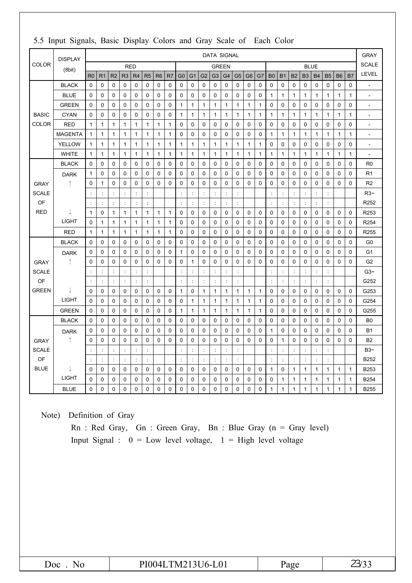|              | <b>DISPLAY</b> | <b>DATA SIGNAL</b>   |                |                      |                      |                |                |                |                | <b>GRAY</b>              |                |                      |                      |                |                |                |              |                |                |                |              |              |                      |              |              |                          |
|--------------|----------------|----------------------|----------------|----------------------|----------------------|----------------|----------------|----------------|----------------|--------------------------|----------------|----------------------|----------------------|----------------|----------------|----------------|--------------|----------------|----------------|----------------|--------------|--------------|----------------------|--------------|--------------|--------------------------|
| <b>COLOR</b> | (8bit)         |                      |                |                      |                      | <b>RED</b>     |                |                |                |                          |                |                      |                      | <b>GREEN</b>   |                |                |              |                |                |                | <b>BLUE</b>  |              |                      |              |              | <b>SCALE</b>             |
|              |                | R <sub>0</sub>       | R <sub>1</sub> | R <sub>2</sub>       | R <sub>3</sub>       | R4             | R <sub>5</sub> | R <sub>6</sub> | R <sub>7</sub> | G <sub>0</sub>           | G <sub>1</sub> | G <sub>2</sub>       | G <sub>3</sub>       | G <sub>4</sub> | G <sub>5</sub> | G <sub>6</sub> | G7           | B <sub>0</sub> | B <sub>1</sub> | <b>B2</b>      | <b>B3</b>    | <b>B4</b>    | <b>B5</b>            | <b>B6</b>    | <b>B7</b>    | <b>LEVEL</b>             |
|              | <b>BLACK</b>   | $\Omega$             | 0              | 0                    | 0                    | 0              | 0              | 0              | 0              | 0                        | 0              | 0                    | 0                    | 0              | 0              | 0              | 0            | 0              | 0              | 0              | 0            | 0            | 0                    | 0            | 0            | ÷                        |
|              | <b>BLUE</b>    | $\Omega$             | 0              | 0                    | $\mathbf 0$          | 0              | 0              | $\mathbf 0$    | 0              | 0                        | 0              | 0                    | $\mathbf 0$          | $\mathbf 0$    | 0              | 0              | $\mathbf 0$  | 1              | $\mathbf{1}$   | 1              | $\mathbf{1}$ | $\mathbf{1}$ | 1                    | 1            | $\mathbf{1}$ | $\ddot{\phantom{0}}$     |
|              | <b>GREEN</b>   | 0                    | 0              | 0                    | $\mathbf 0$          | 0              | 0              | 0              | 0              | $\mathbf{1}$             | $\mathbf{1}$   | $\mathbf{1}$         | $\mathbf{1}$         | 1              | 1              | 1              | 1            | 0              | 0              | 0              | 0            | 0            | 0                    | 0            | 0            | $\overline{\phantom{a}}$ |
| <b>BASIC</b> | <b>CYAN</b>    | $\mathbf 0$          | 0              | $\mathbf 0$          | $\mathbf 0$          | 0              | 0              | $\mathbf 0$    | 0              | $\mathbf{1}$             | $\mathbf{1}$   | $\mathbf{1}$         | $\mathbf{1}$         | $\mathbf{1}$   | 1              | $\mathbf{1}$   | $\mathbf{1}$ | $\mathbf{1}$   | $\mathbf{1}$   | 1              | $\mathbf{1}$ | $\mathbf{1}$ | $\mathbf{1}$         | $\mathbf{1}$ | $\mathbf{1}$ | ÷,                       |
| <b>COLOR</b> | <b>RED</b>     | $\mathbf{1}$         | 1              | 1                    | 1                    | $\mathbf{1}$   | 1              | 1              | 1              | 0                        | 0              | 0                    | 0                    | $\mathbf 0$    | 0              | 0              | 0            | 0              | $\mathbf 0$    | 0              | $\mathbf 0$  | 0            | 0                    | 0            | 0            | $\sim$                   |
|              | <b>MAGENTA</b> | $\mathbf{1}$         | $\mathbf{1}$   | 1                    | 1                    | 1              | $\mathbf{1}$   | $\mathbf{1}$   | 1              | 0                        | 0              | 0                    | $\mathbf 0$          | $\mathbf 0$    | 0              | $\mathbf 0$    | $\pmb{0}$    | 1              | $\mathbf{1}$   | 1              | 1            | 1            | 1                    | 1            | $\mathbf{1}$ | $\overline{\phantom{a}}$ |
|              | <b>YELLOW</b>  | 1                    | 1              | 1                    | $\mathbf{1}$         | 1              | $\mathbf{1}$   | $\mathbf{1}$   | 1              | $\mathbf{1}$             | $\mathbf{1}$   | $\mathbf{1}$         | $\mathbf{1}$         | $\mathbf{1}$   | 1              | 1              | 1            | 0              | $\mathbf 0$    | 0              | $\mathbf 0$  | 0            | $\mathbf 0$          | 0            | 0            | $\overline{a}$           |
|              | <b>WHITE</b>   | $\mathbf{1}$         | 1              | 1                    | $\mathbf{1}$         | 1              | 1              | 1              | 1              | 1                        | $\mathbf{1}$   | 1                    | $\mathbf{1}$         | 1              | 1              | $\mathbf{1}$   | $\mathbf{1}$ | 1              | $\mathbf{1}$   | 1              | 1            | 1            | $\mathbf{1}$         | 1            | $\mathbf{1}$ | $\overline{a}$           |
|              | <b>BLACK</b>   | $\Omega$             | 0              | $\mathbf{0}$         | 0                    | 0              | 0              | 0              | 0              | $\Omega$                 | 0              | 0                    | $\Omega$             | 0              | 0              | 0              | 0            | $\Omega$       | $\Omega$       | 0              | 0            | 0            | 0                    | 0            | 0            | R <sub>0</sub>           |
|              | <b>DARK</b>    | $\mathbf{1}$         | 0              | 0                    | 0                    | 0              | 0              | 0              | 0              | 0                        | 0              | 0                    | 0                    | $\mathbf 0$    | 0              | 0              | 0            | $\mathbf 0$    | 0              | 0              | 0            | 0            | 0                    | 0            | $\mathbf 0$  | R <sub>1</sub>           |
| <b>GRAY</b>  |                | $\mathbf 0$          | 1              | 0                    | 0                    | 0              | 0              | $\mathbf 0$    | 0              | 0                        | $\mathbf 0$    | 0                    | $\mathbf 0$          | 0              | 0              | 0              | 0            | 0              | $\mathbf 0$    | 0              | $\mathbf 0$  | $\mathbf 0$  | 0                    | 0            | $\mathbf 0$  | R <sub>2</sub>           |
| <b>SCALE</b> |                | $\ddot{\phantom{a}}$ | ċ              | $\ddot{\phantom{a}}$ | $\ddot{\phantom{a}}$ | ÷              | t              |                |                | ÷                        | ÷              | $\ddot{\phantom{a}}$ | $\ddot{\phantom{a}}$ | ÷              | ċ              |                |              | ċ              | $\ddot{\cdot}$ | t              | ċ            | ÷            | ÷                    |              |              | R3~                      |
| OF           |                | ÷                    | ÷              |                      | ÷                    | $\ddot{\cdot}$ | ÷              |                |                | $\ddot{\cdot}$           | ċ              |                      | $\ddot{\cdot}$       |                |                |                |              |                | $\ddot{\cdot}$ | $\ddot{\cdot}$ |              | ÷            | ÷                    |              |              | R252                     |
| <b>RED</b>   |                | $\mathbf{1}$         | 0              | 1                    | 1                    | 1              | 1              | $\mathbf{1}$   | 1              | 0                        | 0              | 0                    | 0                    | 0              | 0              | 0              | 0            | 0              | 0              | 0              | 0            | 0            | 0                    | 0            | 0            | R253                     |
|              | <b>LIGHT</b>   | $\Omega$             | 1              | 1                    | $\mathbf{1}$         | $\mathbf{1}$   | $\mathbf{1}$   | $\mathbf{1}$   | 1              | 0                        | $\mathbf 0$    | 0                    | $\mathbf 0$          | $\mathbf 0$    | 0              | $\mathbf 0$    | $\mathbf 0$  | 0              | $\mathbf 0$    | 0              | $\mathbf 0$  | $\mathbf 0$  | 0                    | 0            | $\mathbf 0$  | R254                     |
|              | <b>RED</b>     | 1                    | 1              | 1                    | 1                    | 1              | 1              | 1              | 1              | 0                        | 0              | 0                    | 0                    | 0              | 0              | 0              | 0            | 0              | 0              | 0              | 0            | 0            | 0                    | 0            | 0            | R255                     |
|              | <b>BLACK</b>   | $\Omega$             | 0              | 0                    | 0                    | 0              | 0              | 0              | $\mathbf 0$    | 0                        | 0              | 0                    | 0                    | $\mathbf 0$    | 0              | 0              | 0            | 0              | 0              | 0              | 0            | 0            | 0                    | 0            | $\mathbf 0$  | G <sub>0</sub>           |
|              | <b>DARK</b>    | 0                    | 0              | 0                    | 0                    | 0              | 0              | 0              | 0              | $\mathbf{1}$             | 0              | 0                    | 0                    | $\mathbf 0$    | 0              | 0              | 0            | 0              | $\mathbf 0$    | 0              | 0            | 0            | 0                    | 0            | 0            | G <sub>1</sub>           |
| <b>GRAY</b>  | ↑              | $\mathbf 0$          | $\mathbf 0$    | 0                    | $\mathbf 0$          | 0              | $\mathbf 0$    | 0              | 0              | 0                        | $\mathbf{1}$   | 0                    | 0                    | $\mathbf 0$    | 0              | $\mathbf 0$    | $\mathbf 0$  | 0              | 0              | 0              | $\mathbf 0$  | 0            | $\mathbf 0$          | 0            | $\mathbf 0$  | G <sub>2</sub>           |
| <b>SCALE</b> |                | ÷                    | t              | ÷                    | $\ddot{\cdot}$       | ÷              | t              |                |                | ÷                        | ċ              | $\ddot{\cdot}$       | ÷,                   | ÷              | ÷              |                |              | $\ddot{\cdot}$ | $\ddot{\cdot}$ | t              | ÷            | ÷            | ÷                    |              |              | $G3-$                    |
| OF           |                | $\ddot{\phantom{a}}$ | ÷              |                      | $\ddot{\cdot}$       | ÷              |                |                |                | $\overline{\phantom{a}}$ | $\ddot{\cdot}$ |                      | $\ddot{\cdot}$       |                | ċ              |                |              | ċ              | Ì.             | $\ddot{\cdot}$ | ÷            | ÷            | $\ddot{\phantom{a}}$ |              |              | G252                     |
| <b>GREEN</b> |                | $\mathbf 0$          | 0              | 0                    | 0                    | 0              | $\mathbf 0$    | 0              | 0              | $\mathbf{1}$             | $\pmb{0}$      | $\mathbf{1}$         | $\mathbf{1}$         | 1              | 1              | 1              | 1            | 0              | 0              | 0              | 0            | 0            | 0                    | 0            | 0            | G253                     |
|              | <b>LIGHT</b>   | $\Omega$             | 0              | 0                    | 0                    | 0              | 0              | 0              | 0              | 0                        | $\mathbf{1}$   | $\mathbf{1}$         | $\mathbf{1}$         | 1              | 1              | 1              | 1            | 0              | 0              | 0              | 0            | 0            | 0                    | 0            | 0            | G254                     |
|              | <b>GREEN</b>   | $\Omega$             | 0              | $\Omega$             | 0                    | 0              | 0              | 0              | 0              | 1                        | $\mathbf{1}$   | 1                    | $\mathbf{1}$         | 1              | 1              | 1              | 1            | 0              | $\Omega$       | 0              | $\Omega$     | 0            | 0                    | 0            | 0            | G255                     |
|              | <b>BLACK</b>   | $\Omega$             | 0              | 0                    | 0                    | 0              | 0              | 0              | 0              | 0                        | 0              | 0                    | 0                    | $\mathbf 0$    | 0              | 0              | 0            | 0              | 0              | 0              | $\mathbf 0$  | 0            | 0                    | 0            | 0            | B <sub>0</sub>           |
|              | <b>DARK</b>    | 0                    | $\mathbf 0$    | 0                    | 0                    | 0              | $\mathbf 0$    | 0              | 0              | 0                        | $\mathbf 0$    | 0                    | 0                    | $\mathbf 0$    | 0              | 0              | $\mathbf 0$  | 1              | 0              | 0              | $\mathbf 0$  | 0            | 0                    | 0            | $\mathbf 0$  | <b>B1</b>                |
| <b>GRAY</b>  |                | $\mathbf 0$          | $\mathbf 0$    | 0                    | 0                    | 0              | 0              | 0              | 0              | 0                        | 0              | 0                    | 0                    | $\mathbf 0$    | 0              | $\mathbf 0$    | 0            | 0              | 1              | 0              | $\mathbf 0$  | 0            | $\mathbf 0$          | 0            | $\mathbf 0$  | B <sub>2</sub>           |
| <b>SCALE</b> |                | ÷                    |                |                      | ÷                    | ÷              | $\ddot{\cdot}$ |                |                | ÷                        |                |                      | ċ                    |                | $\ddot{\cdot}$ |                |              | ÷              | ċ              |                | ċ            | ÷            | ÷                    |              |              | B3~                      |
| OF           |                | $\ddot{\phantom{a}}$ | ÷              |                      | ÷                    | ÷              | ċ              |                |                | ÷                        | ÷              |                      | $\ddot{\phantom{a}}$ | ċ              | ÷              |                |              | $\ddot{\cdot}$ | ÷              | t              | ċ            | ÷            | ÷                    |              |              | B252                     |
| <b>BLUE</b>  |                | $\mathbf 0$          | 0              | 0                    | 0                    | 0              | 0              | 0              | 0              | 0                        | $\pmb{0}$      | 0                    | 0                    | $\mathbf 0$    | 0              | 0              | 0            | $\mathbf{1}$   | 0              | 1              | 1            | 1            | 1                    | 1            | $\mathbf{1}$ | B253                     |
|              | <b>LIGHT</b>   | $\Omega$             | 0              | 0                    | 0                    | 0              | 0              | 0              | 0              | 0                        | 0              | 0                    | 0                    | 0              | 0              | 0              | 0            | 0              | 1              | 1              | 1            | 1            | 1                    | 1            | $\mathbf{1}$ | B254                     |
|              | <b>BLUE</b>    | $\Omega$             | $\mathbf 0$    | 0                    | 0                    | 0              | 0              | $\mathbf 0$    | 0              | 0                        | $\mathbf 0$    | $\Omega$             | $\Omega$             | 0              | 0              | 0              | $\mathbf 0$  | 1              | $\mathbf{1}$   | $\mathbf{1}$   | $\mathbf{1}$ | $\mathbf 1$  | $\mathbf{1}$         | $\mathbf{1}$ | $\mathbf{1}$ | <b>B255</b>              |

### 5.5 Input Signals, Basic Display Colors and Gray Scale of Each Color

Note) Definition of Gray

Rn : Red Gray, Gn : Green Gray, Bn : Blue Gray (n = Gray level) Input Signal :  $0 = Low level voltage$ ,  $1 = High level voltage$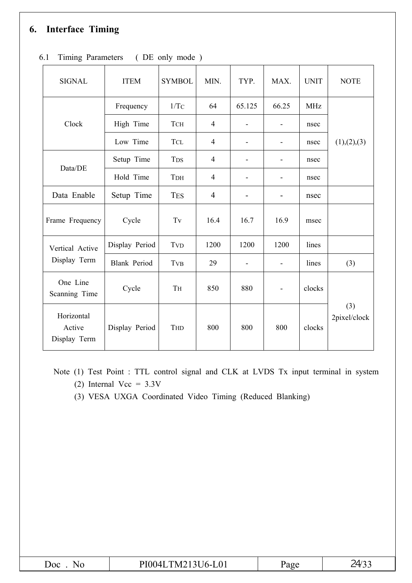### **6. Interface Timing**

| <b>SIGNAL</b>                        | <b>ITEM</b>         | <b>SYMBOL</b>       | MIN.           | TYP.   | MAX.                     | <b>UNIT</b> | <b>NOTE</b>         |  |
|--------------------------------------|---------------------|---------------------|----------------|--------|--------------------------|-------------|---------------------|--|
|                                      | Frequency           | 1/TC                | 64             | 65.125 | 66.25                    | <b>MHz</b>  |                     |  |
| Clock                                | High Time           | <b>TCH</b>          | $\overline{4}$ |        |                          | nsec        |                     |  |
|                                      | Low Time            | <b>TCL</b>          | $\overline{4}$ |        |                          | nsec        | (1), (2), (3)       |  |
|                                      | Setup Time          | <b>TDS</b>          | $\overline{4}$ |        |                          | nsec        |                     |  |
| Data/DE                              | Hold Time           | TDH                 | $\overline{4}$ |        |                          | nsec        |                     |  |
| Data Enable                          | Setup Time          | <b>TES</b>          | $\overline{4}$ |        |                          | nsec        |                     |  |
| Frame Frequency                      | Cycle               | $\operatorname{Tv}$ | 16.4           | 16.7   | 16.9                     | msec        |                     |  |
| Vertical Active                      | Display Period      | <b>TVD</b>          | 1200           | 1200   | 1200                     | lines       |                     |  |
| Display Term                         | <b>Blank Period</b> | <b>TVB</b>          | 29             |        |                          | lines       | (3)                 |  |
| One Line<br>Scanning Time            | Cycle               | TH                  | 850            | 880    | $\overline{\phantom{0}}$ | clocks      |                     |  |
| Horizontal<br>Active<br>Display Term | Display Period      | THD                 | 800            | 800    | 800                      | clocks      | (3)<br>2pixel/clock |  |

### 6.1 Timing Parameters ( DE only mode )

- Note (1) Test Point : TTL control signal and CLK at LVDS Tx input terminal in system (2) Internal Vcc =  $3.3V$ 
	- (3) VESA UXGA Coordinated Video Timing (Reduced Blanking)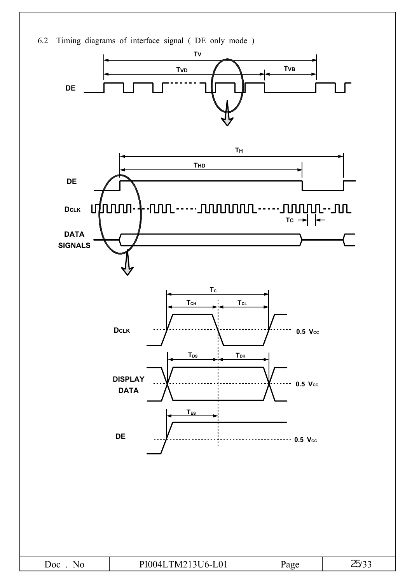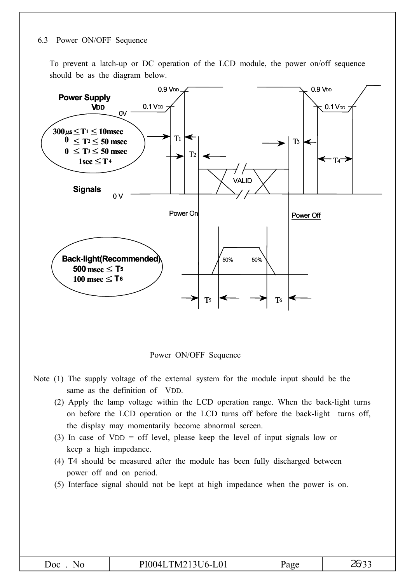#### 6.3 Power ON/OFF Sequence

To prevent a latch-up or DC operation of the LCD module, the power on/off sequence should be as the diagram below.



Power ON/OFF Sequence

- Note (1) The supply voltage of the external system for the module input should be the same as the definition of VDD.
	- (2) Apply the lamp voltage within the LCD operation range. When the back-light turns on before the LCD operation or the LCD turns off before the back-light turns off, the display may momentarily become abnormal screen.
	- (3) In case of VDD = off level, please keep the level of input signals low or keep a high impedance.
	- (4) T4 should be measured after the module has been fully discharged between power off and on period.
	- (5) Interface signal should not be kept at high impedance when the power is on.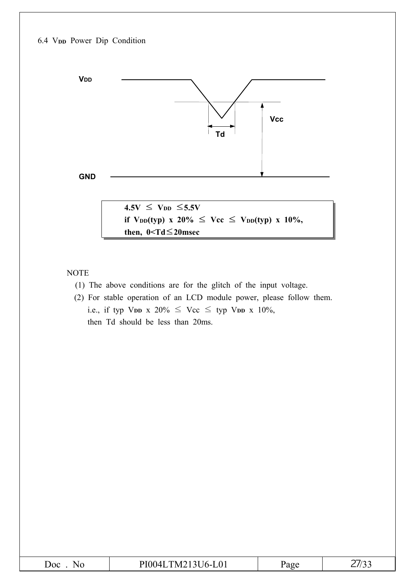

NOTE

- (1) The above conditions are for the glitch of the input voltage.
- (2) For stable operation of an LCD module power, please follow them. i.e., if typ V<sub>DD</sub> x 20%  $\leq$  Vcc  $\leq$  typ V<sub>DD</sub> x 10%, then Td should be less than 20ms.

| ILTM213U6-L01<br>DIAAA'<br>$\prime$<br>$\omega$ oc<br>age<br>'Nu<br>- - | ັັ |
|-------------------------------------------------------------------------|----|
|-------------------------------------------------------------------------|----|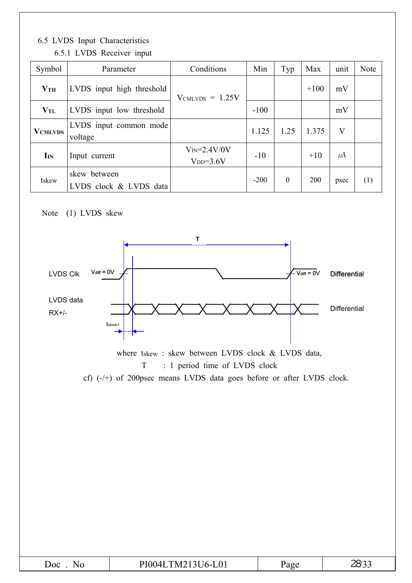### 6.5 LVDS Input Characteristics

| Symbol            | Parameter                              | Conditions                  | Min    | Typ          | Max    | unit    | Note |
|-------------------|----------------------------------------|-----------------------------|--------|--------------|--------|---------|------|
| VTH               | LVDS input high threshold              | $V_{CMLVDS} = 1.25V$        |        |              | $+100$ | mV      |      |
| $\mathbf{V_{TL}}$ | LVDS input low threshold               |                             | $-100$ |              |        | mV      |      |
| <b>VCMLVDS</b>    | LVDS input common mode<br>voltage      |                             | 1.125  | 1.25         | 1.375  | $\rm V$ |      |
| I <sub>IN</sub>   | Input current                          | $VIN=2.4V/0V$<br>$VDD=3.6V$ | $-10$  |              | $+10$  | $\mu$ A |      |
| tskew             | skew between<br>LVDS clock & LVDS data |                             | $-200$ | $\mathbf{0}$ | 200    | psec    | (1)  |

### 6.5.1 LVDS Receiver input

### Note (1) LVDS skew



where tskew : skew between LVDS clock & LVDS data, T : 1 period time of LVDS clock

cf) (-/+) of 200psec means LVDS data goes before or after LVDS clock.

| Doc | $TMA212ILI$ $A1$<br>`M2<br>ונו<br>$16-1$<br>UV 1 | арс | ∼וכו<br>— |
|-----|--------------------------------------------------|-----|-----------|
|     |                                                  |     |           |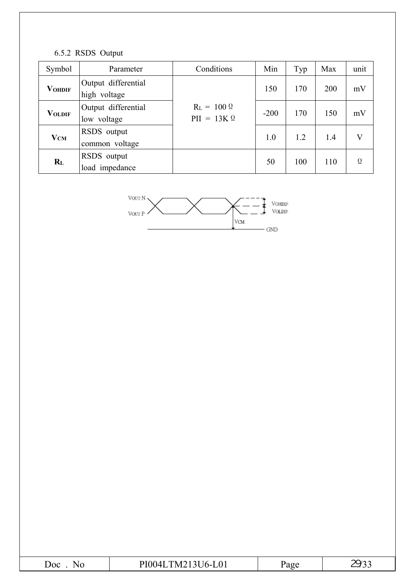### 6.5.2 RSDS Output

| Symbol        | Parameter                           | Conditions                               | Min    | Typ | Max | unit     |
|---------------|-------------------------------------|------------------------------------------|--------|-----|-----|----------|
| <b>VOHDIF</b> | Output differential<br>high voltage |                                          | 150    | 170 | 200 | mV       |
| <b>VOLDIF</b> | Output differential<br>low voltage  | $R_L = 100 \Omega$<br>$PII = 13K \Omega$ | $-200$ | 170 | 150 | mV       |
| <b>VCM</b>    | RSDS output<br>common voltage       |                                          | 1.0    | 1.2 | 1.4 | V        |
| $R_{L}$       | RSDS output<br>load impedance       |                                          | 50     | 100 | 110 | $\Omega$ |



| JOC | $\mathbf{A}^{\dagger}$<br>-<br>N/I<br>TO 1 |  |
|-----|--------------------------------------------|--|
|     |                                            |  |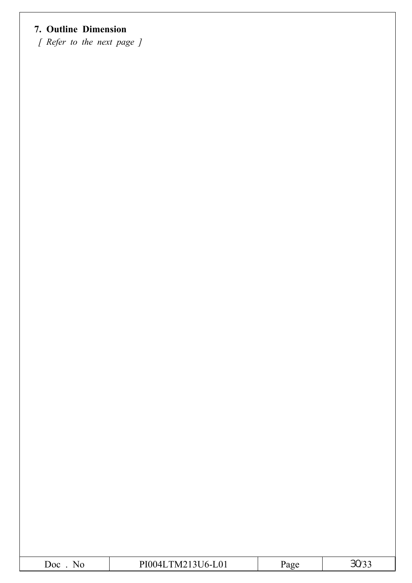### **7. Outline Dimension**

*[ Refer to the next page ]*

|--|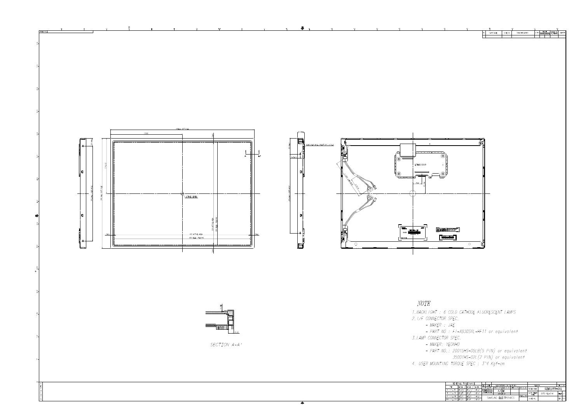

| <b>GENERAL</b>                |        | TOL FRANCE                 |      |              |                                 |           |                         |                                     |          |               |                    |          |           |  |
|-------------------------------|--------|----------------------------|------|--------------|---------------------------------|-----------|-------------------------|-------------------------------------|----------|---------------|--------------------|----------|-----------|--|
|                               |        |                            |      | <b>REV</b>   | DATE                            |           | DESCRIPTION OF REVISION |                                     |          | <b>REASON</b> |                    | CHG D BY |           |  |
| <b>STEP</b>                   |        | LEVEL 1/ILEVEL 2/ILEVEL 31 |      | UNIT         | mm                              |           |                         | DRA'N BY DES'D BY CHK'D BY APP'D BY |          | MODEL NAME    | LTM213U6-L01       |          |           |  |
| $0 \leq X \leq 4$             | ±0.05/ | ±0.1                       | ±0.2 | <b>SCALE</b> | N/A                             | $J.S.$ OK |                         |                                     |          |               |                    |          |           |  |
| $4 \times X \leq 16$          | ±0.08  | 10.15                      | ±0.3 |              | TOLERANCE                       |           |                         |                                     |          | PART/SHEET    | <b>OUTLINE-DIM</b> |          |           |  |
|                               |        |                            |      |              |                                 |           | 2005.04.25              |                                     | SPEC. NO | <b>NAME</b>   |                    |          | SHEET 1/1 |  |
| $16 \times X \leq 64$         | ±0'.12 | ±0'.25                     | ±0.5 |              |                                 |           |                         |                                     |          |               |                    |          |           |  |
| $64 \times X \le 256$ $A0.25$ |        | L60.4                      | ±0.8 |              | SAMSUNG ELECTRONICS<br>CODE NO. |           |                         |                                     |          |               | VER. 005           |          |           |  |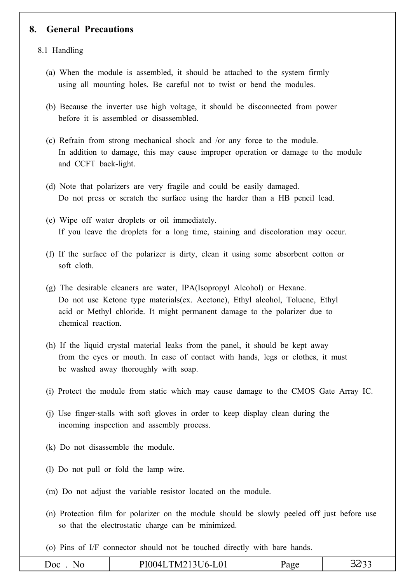### **8. General Precautions**

#### 8.1 Handling

- (a) When the module is assembled, it should be attached to the system firmly using all mounting holes. Be careful not to twist or bend the modules.
- (b) Because the inverter use high voltage, it should be disconnected from power before it is assembled or disassembled.
- (c) Refrain from strong mechanical shock and /or any force to the module. In addition to damage, this may cause improper operation or damage to the module and CCFT back-light.
- (d) Note that polarizers are very fragile and could be easily damaged. Do not press or scratch the surface using the harder than a HB pencil lead.
- (e) Wipe off water droplets or oil immediately. If you leave the droplets for a long time, staining and discoloration may occur.
- (f) If the surface of the polarizer is dirty, clean it using some absorbent cotton or soft cloth.
- (g) The desirable cleaners are water, IPA(Isopropyl Alcohol) or Hexane. Do not use Ketone type materials(ex. Acetone), Ethyl alcohol, Toluene, Ethyl acid or Methyl chloride. It might permanent damage to the polarizer due to chemical reaction.
- (h) If the liquid crystal material leaks from the panel, it should be kept away from the eyes or mouth. In case of contact with hands, legs or clothes, it must be washed away thoroughly with soap.
- (i) Protect the module from static which may cause damage to the CMOS Gate Array IC.
- (j) Use finger-stalls with soft gloves in order to keep display clean during the incoming inspection and assembly process.
- (k) Do not disassemble the module.
- (l) Do not pull or fold the lamp wire.
- (m) Do not adjust the variable resistor located on the module.
- (n) Protection film for polarizer on the module should be slowly peeled off just before use so that the electrostatic charge can be minimized.
- (o) Pins of I/F connector should not be touched directly with bare hands.

|  | Doc<br>NΩ | PI004LTM213U6-L01 | age' | ر ربےر |
|--|-----------|-------------------|------|--------|
|--|-----------|-------------------|------|--------|